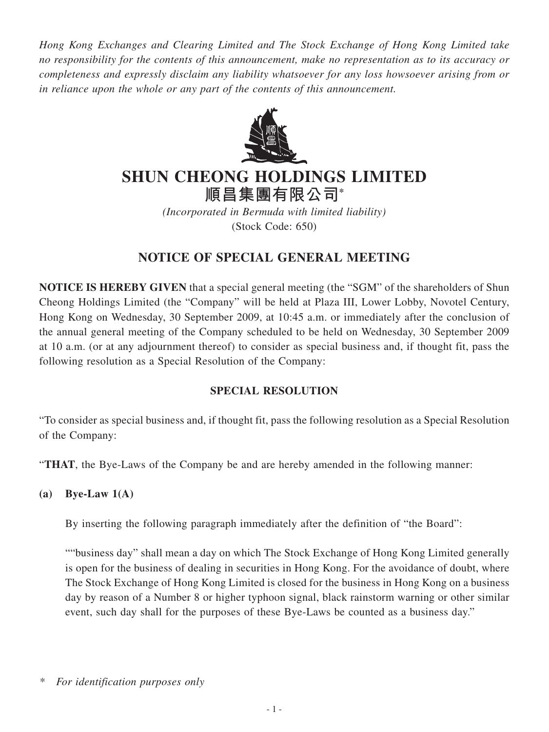*Hong Kong Exchanges and Clearing Limited and The Stock Exchange of Hong Kong Limited take no responsibility for the contents of this announcement, make no representation as to its accuracy or completeness and expressly disclaim any liability whatsoever for any loss howsoever arising from or in reliance upon the whole or any part of the contents of this announcement.*



# **SHUN CHEONG HOLDINGS LIMITED**

**順昌集團有限公司\***

*(Incorporated in Bermuda with limited liability)* (Stock Code: 650)

# **NOTICE OF SPECIAL GENERAL MEETING**

**NOTICE IS HEREBY GIVEN** that a special general meeting (the "SGM" of the shareholders of Shun Cheong Holdings Limited (the "Company" will be held at Plaza III, Lower Lobby, Novotel Century, Hong Kong on Wednesday, 30 September 2009, at 10:45 a.m. or immediately after the conclusion of the annual general meeting of the Company scheduled to be held on Wednesday, 30 September 2009 at 10 a.m. (or at any adjournment thereof) to consider as special business and, if thought fit, pass the following resolution as a Special Resolution of the Company:

# **SPECIAL RESOLUTION**

"To consider as special business and, if thought fit, pass the following resolution as a Special Resolution of the Company:

"**THAT**, the Bye-Laws of the Company be and are hereby amended in the following manner:

**(a) Bye-Law 1(A)**

By inserting the following paragraph immediately after the definition of "the Board":

""business day" shall mean a day on which The Stock Exchange of Hong Kong Limited generally is open for the business of dealing in securities in Hong Kong. For the avoidance of doubt, where The Stock Exchange of Hong Kong Limited is closed for the business in Hong Kong on a business day by reason of a Number 8 or higher typhoon signal, black rainstorm warning or other similar event, such day shall for the purposes of these Bye-Laws be counted as a business day."

*<sup>\*</sup> For identification purposes only*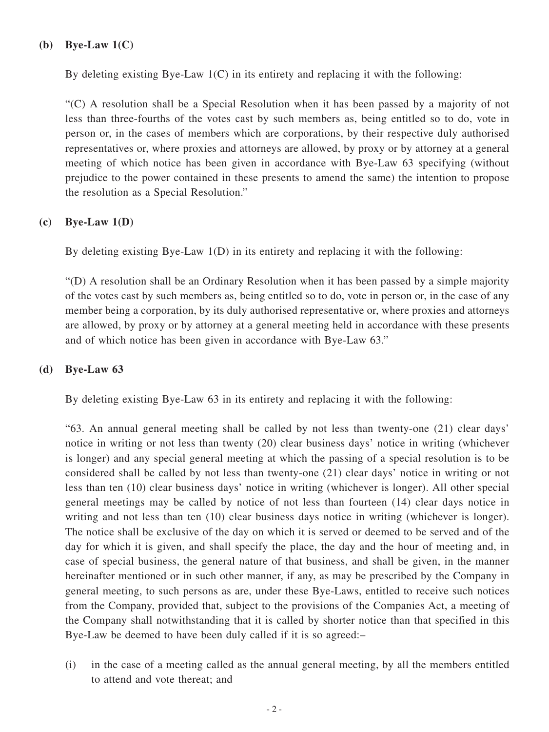#### **(b) Bye-Law 1(C)**

By deleting existing Bye-Law  $1(C)$  in its entirety and replacing it with the following:

"(C) A resolution shall be a Special Resolution when it has been passed by a majority of not less than three-fourths of the votes cast by such members as, being entitled so to do, vote in person or, in the cases of members which are corporations, by their respective duly authorised representatives or, where proxies and attorneys are allowed, by proxy or by attorney at a general meeting of which notice has been given in accordance with Bye-Law 63 specifying (without prejudice to the power contained in these presents to amend the same) the intention to propose the resolution as a Special Resolution."

# **(c) Bye-Law 1(D)**

By deleting existing Bye-Law 1(D) in its entirety and replacing it with the following:

"(D) A resolution shall be an Ordinary Resolution when it has been passed by a simple majority of the votes cast by such members as, being entitled so to do, vote in person or, in the case of any member being a corporation, by its duly authorised representative or, where proxies and attorneys are allowed, by proxy or by attorney at a general meeting held in accordance with these presents and of which notice has been given in accordance with Bye-Law 63."

# **(d) Bye-Law 63**

By deleting existing Bye-Law 63 in its entirety and replacing it with the following:

"63. An annual general meeting shall be called by not less than twenty-one (21) clear days' notice in writing or not less than twenty (20) clear business days' notice in writing (whichever is longer) and any special general meeting at which the passing of a special resolution is to be considered shall be called by not less than twenty-one (21) clear days' notice in writing or not less than ten (10) clear business days' notice in writing (whichever is longer). All other special general meetings may be called by notice of not less than fourteen (14) clear days notice in writing and not less than ten (10) clear business days notice in writing (whichever is longer). The notice shall be exclusive of the day on which it is served or deemed to be served and of the day for which it is given, and shall specify the place, the day and the hour of meeting and, in case of special business, the general nature of that business, and shall be given, in the manner hereinafter mentioned or in such other manner, if any, as may be prescribed by the Company in general meeting, to such persons as are, under these Bye-Laws, entitled to receive such notices from the Company, provided that, subject to the provisions of the Companies Act, a meeting of the Company shall notwithstanding that it is called by shorter notice than that specified in this Bye-Law be deemed to have been duly called if it is so agreed:–

(i) in the case of a meeting called as the annual general meeting, by all the members entitled to attend and vote thereat; and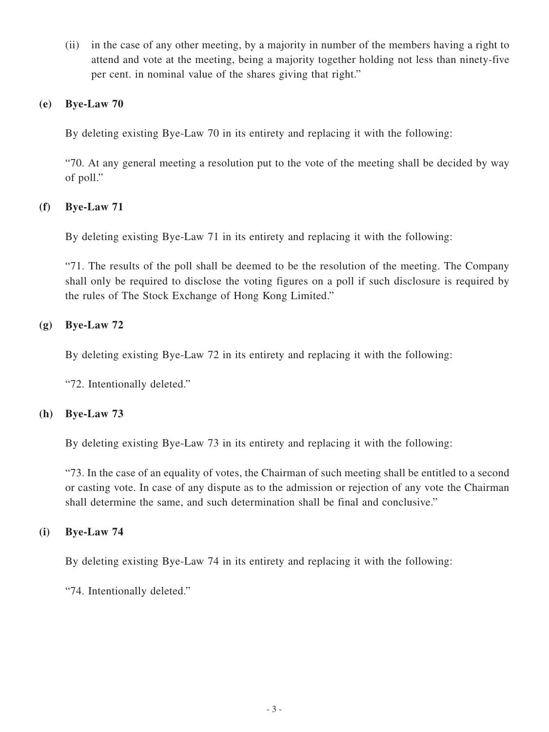(ii) in the case of any other meeting, by a majority in number of the members having a right to attend and vote at the meeting, being a majority together holding not less than ninety-five per cent. in nominal value of the shares giving that right."

#### **(e) Bye-Law 70**

By deleting existing Bye-Law 70 in its entirety and replacing it with the following:

"70. At any general meeting a resolution put to the vote of the meeting shall be decided by way of poll."

# **(f) Bye-Law 71**

By deleting existing Bye-Law 71 in its entirety and replacing it with the following:

"71. The results of the poll shall be deemed to be the resolution of the meeting. The Company shall only be required to disclose the voting figures on a poll if such disclosure is required by the rules of The Stock Exchange of Hong Kong Limited."

# **(g) Bye-Law 72**

By deleting existing Bye-Law 72 in its entirety and replacing it with the following:

"72. Intentionally deleted."

# **(h) Bye-Law 73**

By deleting existing Bye-Law 73 in its entirety and replacing it with the following:

"73. In the case of an equality of votes, the Chairman of such meeting shall be entitled to a second or casting vote. In case of any dispute as to the admission or rejection of any vote the Chairman shall determine the same, and such determination shall be final and conclusive."

# **(i) Bye-Law 74**

By deleting existing Bye-Law 74 in its entirety and replacing it with the following:

"74. Intentionally deleted."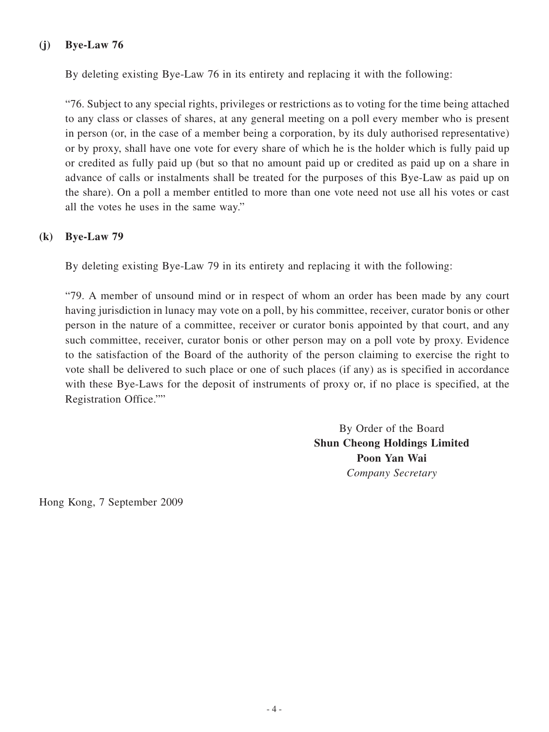#### **(j) Bye-Law 76**

By deleting existing Bye-Law 76 in its entirety and replacing it with the following:

"76. Subject to any special rights, privileges or restrictions as to voting for the time being attached to any class or classes of shares, at any general meeting on a poll every member who is present in person (or, in the case of a member being a corporation, by its duly authorised representative) or by proxy, shall have one vote for every share of which he is the holder which is fully paid up or credited as fully paid up (but so that no amount paid up or credited as paid up on a share in advance of calls or instalments shall be treated for the purposes of this Bye-Law as paid up on the share). On a poll a member entitled to more than one vote need not use all his votes or cast all the votes he uses in the same way."

#### **(k) Bye-Law 79**

By deleting existing Bye-Law 79 in its entirety and replacing it with the following:

"79. A member of unsound mind or in respect of whom an order has been made by any court having jurisdiction in lunacy may vote on a poll, by his committee, receiver, curator bonis or other person in the nature of a committee, receiver or curator bonis appointed by that court, and any such committee, receiver, curator bonis or other person may on a poll vote by proxy. Evidence to the satisfaction of the Board of the authority of the person claiming to exercise the right to vote shall be delivered to such place or one of such places (if any) as is specified in accordance with these Bye-Laws for the deposit of instruments of proxy or, if no place is specified, at the Registration Office.""

> By Order of the Board **Shun Cheong Holdings Limited Poon Yan Wai** *Company Secretary*

Hong Kong, 7 September 2009